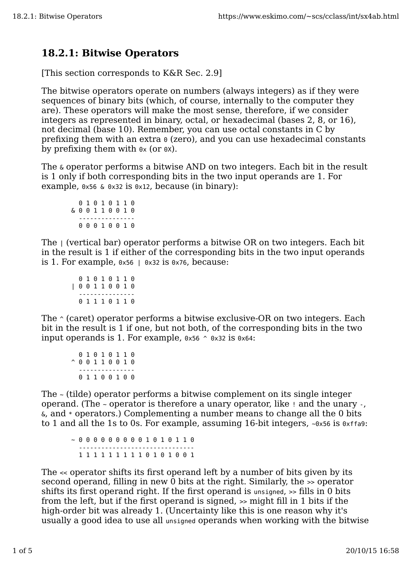## **18.2.1: Bitwise Operators**

[This section corresponds to K&R Sec. 2.9]

The bitwise operators operate on numbers (always integers) as if they were sequences of binary bits (which, of course, internally to the computer they are). These operators will make the most sense, therefore, if we consider integers as represented in binary, octal, or hexadecimal (bases 2, 8, or 16), not decimal (base 10). Remember, you can use octal constants in C by prefixing them with an extra 0 (zero), and you can use hexadecimal constants by prefixing them with  $\alpha$  (or  $\alpha$ ).

The & operator performs a bitwise AND on two integers. Each bit in the result is 1 only if both corresponding bits in the two input operands are 1. For example,  $0 \times 56 \& 0 \times 32$  is  $0 \times 12$ , because (in binary):

 0 1 0 1 0 1 1 0 & 0 0 1 1 0 0 1 0 --------------- 0 0 0 1 0 0 1 0

The | (vertical bar) operator performs a bitwise OR on two integers. Each bit in the result is 1 if either of the corresponding bits in the two input operands is 1. For example,  $0 \times 56$  |  $0 \times 32$  is  $0 \times 76$ , because:

```
 0 1 0 1 0 1 1 0
| 0 0 1 1 0 0 1 0
 ---------------
   0 1 1 1 0 1 1 0
```
The  $\gamma$  (caret) operator performs a bitwise exclusive-OR on two integers. Each bit in the result is 1 if one, but not both, of the corresponding bits in the two input operands is 1. For example,  $0 \times 56$   $\degree$   $0 \times 32$  is  $0 \times 64$ :

 0 1 0 1 0 1 1 0 ^ 0 0 1 1 0 0 1 0 --------------- 0 1 1 0 0 1 0 0

The ~ (tilde) operator performs a bitwise complement on its single integer operand. (The ~ operator is therefore a unary operator, like ! and the unary -, &, and \* operators.) Complementing a number means to change all the 0 bits to 1 and all the 1s to 0s. For example, assuming 16-bit integers,  $\sim 0 \times 56$  is 0xffa9:

~ 0 0 0 0 0 0 0 0 0 1 0 1 0 1 1 0 ------------------------------- 1 1 1 1 1 1 1 1 1 0 1 0 1 0 0 1

The << operator shifts its first operand left by a number of bits given by its second operand, filling in new  $\overline{0}$  bits at the right. Similarly, the  $\overline{\phantom{a}}$  > operator shifts its first operand right. If the first operand is unsigned, >> fills in 0 bits from the left, but if the first operand is signed, >> might fill in 1 bits if the high-order bit was already 1. (Uncertainty like this is one reason why it's usually a good idea to use all unsigned operands when working with the bitwise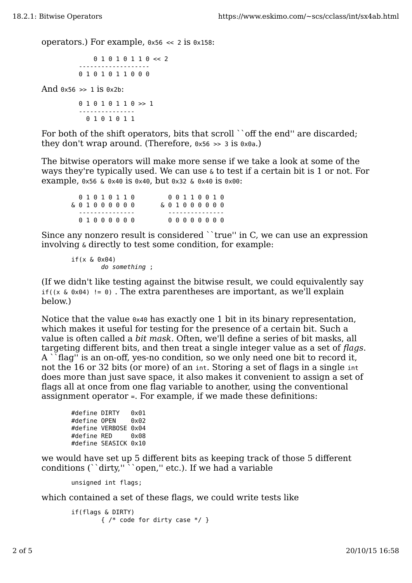operators.) For example,  $0 \times 56 \leq 2$  is  $0 \times 158$ :

```
 0 1 0 1 0 1 1 0 << 2
 -------------------
  0 1 0 1 0 1 1 0 0 0
```
And  $0x56 \gg 1$  is  $0x2b$ :

 0 1 0 1 0 1 1 0 >> 1 --------------- 0 1 0 1 0 1 1

For both of the shift operators, bits that scroll ``off the end" are discarded; they don't wrap around. (Therefore,  $0 \times 56 \gg 3$  is  $0 \times 0a$ .)

The bitwise operators will make more sense if we take a look at some of the ways they're typically used. We can use & to test if a certain bit is 1 or not. For example, 0x56 & 0x40 is 0x40, but 0x32 & 0x40 is 0x00:

| & 0 1 0 0 0 0 0 0 |  | 01010110 |  |  | & 0 1 0 0 0 0 0 0 | 00110010 |  |  |  |
|-------------------|--|----------|--|--|-------------------|----------|--|--|--|
|                   |  | 01000000 |  |  |                   | 00000000 |  |  |  |

Since any nonzero result is considered ``true'' in C, we can use an expression involving & directly to test some condition, for example:

 $if(x \& 0x04)$ do something ;

(If we didn't like testing against the bitwise result, we could equivalently say if( $(x \& 0x04)$  != 0). The extra parentheses are important, as we'll explain below.)

Notice that the value  $0 \times 40$  has exactly one 1 bit in its binary representation, which makes it useful for testing for the presence of a certain bit. Such a value is often called a *bit mask*. Often, we'll define a series of bit masks, all targeting different bits, and then treat a single integer value as a set of *flags*. A ``flag'' is an on-off, yes-no condition, so we only need one bit to record it, not the 16 or 32 bits (or more) of an int. Storing a set of flags in a single int does more than just save space, it also makes it convenient to assign a set of flags all at once from one flag variable to another, using the conventional assignment operator =. For example, if we made these definitions:

```
#define DIRTY 0x01
#define OPEN 0x02
#define VERBOSE 0x04
#define RED 0x08
#define SEASICK 0x10
```
we would have set up 5 different bits as keeping track of those 5 different conditions (``dirty,"``open," etc.). If we had a variable

unsigned int flags;

which contained a set of these flags, we could write tests like

if(flags & DIRTY) { /\* code for dirty case \*/ }